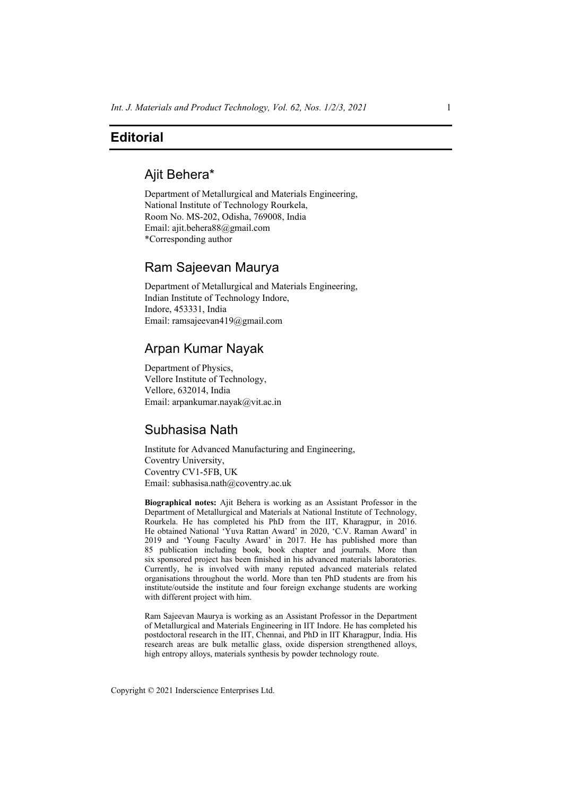# **Editorial**

# Ajit Behera\*

Department of Metallurgical and Materials Engineering, National Institute of Technology Rourkela, Room No. MS-202, Odisha, 769008, India Email: ajit.behera88@gmail.com \*Corresponding author

### Ram Sajeevan Maurya

Department of Metallurgical and Materials Engineering, Indian Institute of Technology Indore, Indore, 453331, India Email: ramsajeevan419@gmail.com

# Arpan Kumar Nayak

Department of Physics, Vellore Institute of Technology, Vellore, 632014, India Email: arpankumar.nayak@vit.ac.in

### Subhasisa Nath

Institute for Advanced Manufacturing and Engineering, Coventry University, Coventry CV1-5FB, UK Email: subhasisa.nath@coventry.ac.uk

**Biographical notes:** Ajit Behera is working as an Assistant Professor in the Department of Metallurgical and Materials at National Institute of Technology, Rourkela. He has completed his PhD from the IIT, Kharagpur, in 2016. He obtained National 'Yuva Rattan Award' in 2020, 'C.V. Raman Award' in 2019 and 'Young Faculty Award' in 2017. He has published more than 85 publication including book, book chapter and journals. More than six sponsored project has been finished in his advanced materials laboratories. Currently, he is involved with many reputed advanced materials related organisations throughout the world. More than ten PhD students are from his institute/outside the institute and four foreign exchange students are working with different project with him.

Ram Sajeevan Maurya is working as an Assistant Professor in the Department of Metallurgical and Materials Engineering in IIT Indore. He has completed his postdoctoral research in the IIT, Chennai, and PhD in IIT Kharagpur, India. His research areas are bulk metallic glass, oxide dispersion strengthened alloys, high entropy alloys, materials synthesis by powder technology route.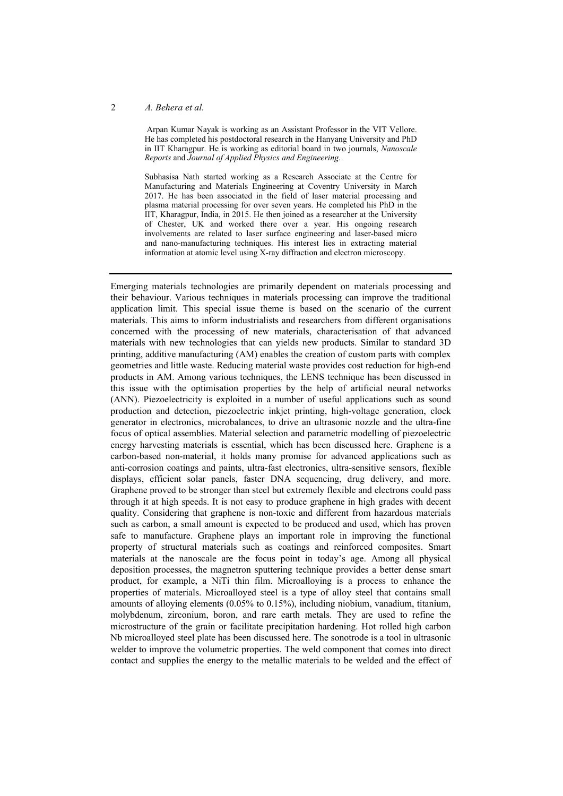Arpan Kumar Nayak is working as an Assistant Professor in the VIT Vellore. He has completed his postdoctoral research in the Hanyang University and PhD in IIT Kharagpur. He is working as editorial board in two journals, *Nanoscale Reports* and *Journal of Applied Physics and Engineering*.

Subhasisa Nath started working as a Research Associate at the Centre for Manufacturing and Materials Engineering at Coventry University in March 2017. He has been associated in the field of laser material processing and plasma material processing for over seven years. He completed his PhD in the IIT, Kharagpur, India, in 2015. He then joined as a researcher at the University of Chester, UK and worked there over a year. His ongoing research involvements are related to laser surface engineering and laser-based micro and nano-manufacturing techniques. His interest lies in extracting material information at atomic level using X-ray diffraction and electron microscopy.

Emerging materials technologies are primarily dependent on materials processing and their behaviour. Various techniques in materials processing can improve the traditional application limit. This special issue theme is based on the scenario of the current materials. This aims to inform industrialists and researchers from different organisations concerned with the processing of new materials, characterisation of that advanced materials with new technologies that can yields new products. Similar to standard 3D printing, additive manufacturing (AM) enables the creation of custom parts with complex geometries and little waste. Reducing material waste provides cost reduction for high-end products in AM. Among various techniques, the LENS technique has been discussed in this issue with the optimisation properties by the help of artificial neural networks (ANN). Piezoelectricity is exploited in a number of useful applications such as sound production and detection, piezoelectric inkjet printing, high-voltage generation, clock generator in electronics, microbalances, to drive an ultrasonic nozzle and the ultra-fine focus of optical assemblies. Material selection and parametric modelling of piezoelectric energy harvesting materials is essential, which has been discussed here. Graphene is a carbon-based non-material, it holds many promise for advanced applications such as anti-corrosion coatings and paints, ultra-fast electronics, ultra-sensitive sensors, flexible displays, efficient solar panels, faster DNA sequencing, drug delivery, and more. Graphene proved to be stronger than steel but extremely flexible and electrons could pass through it at high speeds. It is not easy to produce graphene in high grades with decent quality. Considering that graphene is non-toxic and different from hazardous materials such as carbon, a small amount is expected to be produced and used, which has proven safe to manufacture. Graphene plays an important role in improving the functional property of structural materials such as coatings and reinforced composites. Smart materials at the nanoscale are the focus point in today's age. Among all physical deposition processes, the magnetron sputtering technique provides a better dense smart product, for example, a NiTi thin film. Microalloying is a process to enhance the properties of materials. Microalloyed steel is a type of alloy steel that contains small amounts of alloying elements (0.05% to 0.15%), including niobium, vanadium, titanium, molybdenum, zirconium, boron, and rare earth metals. They are used to refine the microstructure of the grain or facilitate precipitation hardening. Hot rolled high carbon Nb microalloyed steel plate has been discussed here. The sonotrode is a tool in ultrasonic welder to improve the volumetric properties. The weld component that comes into direct contact and supplies the energy to the metallic materials to be welded and the effect of